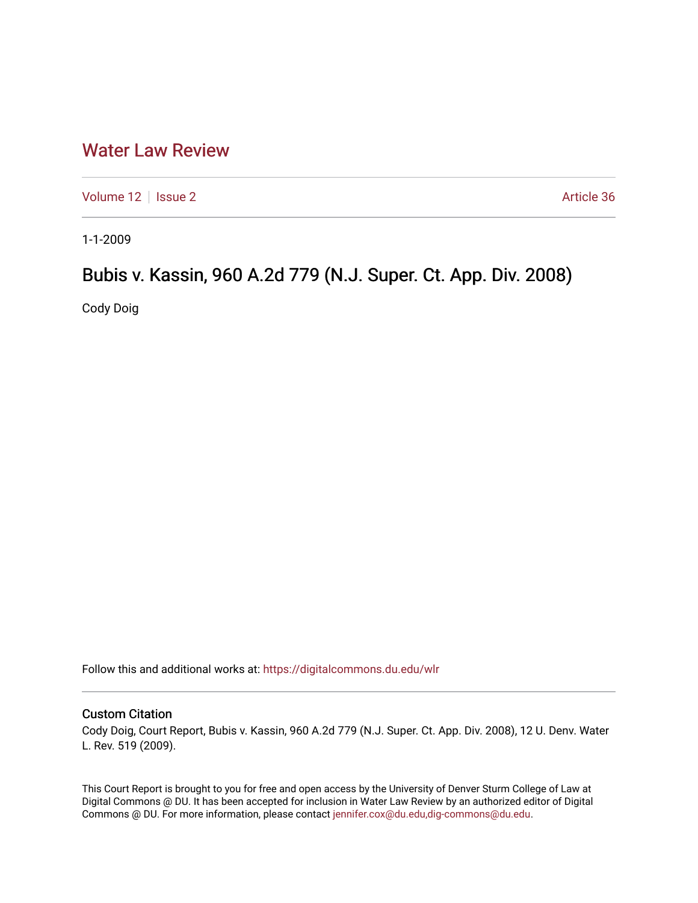## [Water Law Review](https://digitalcommons.du.edu/wlr)

[Volume 12](https://digitalcommons.du.edu/wlr/vol12) | [Issue 2](https://digitalcommons.du.edu/wlr/vol12/iss2) Article 36

1-1-2009

# Bubis v. Kassin, 960 A.2d 779 (N.J. Super. Ct. App. Div. 2008)

Cody Doig

Follow this and additional works at: [https://digitalcommons.du.edu/wlr](https://digitalcommons.du.edu/wlr?utm_source=digitalcommons.du.edu%2Fwlr%2Fvol12%2Fiss2%2F36&utm_medium=PDF&utm_campaign=PDFCoverPages) 

## Custom Citation

Cody Doig, Court Report, Bubis v. Kassin, 960 A.2d 779 (N.J. Super. Ct. App. Div. 2008), 12 U. Denv. Water L. Rev. 519 (2009).

This Court Report is brought to you for free and open access by the University of Denver Sturm College of Law at Digital Commons @ DU. It has been accepted for inclusion in Water Law Review by an authorized editor of Digital Commons @ DU. For more information, please contact [jennifer.cox@du.edu,dig-commons@du.edu.](mailto:jennifer.cox@du.edu,dig-commons@du.edu)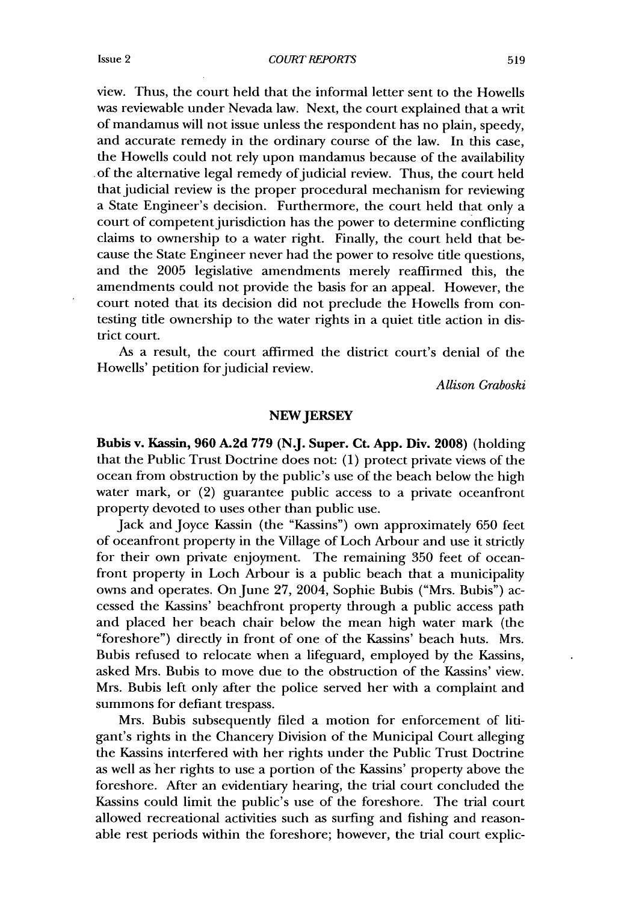view. Thus, the court held that the informal letter sent to the Howells was reviewable under Nevada law. Next, the court explained that a writ of mandamus will not issue unless the respondent has no plain, speedy, and accurate remedy in the ordinary course of the law. In this case, the Howells could not rely upon mandamus because of the availability of the alternative legal remedy of judicial review. Thus, the court held that judicial review is the proper procedural mechanism for reviewing a State Engineer's decision. Furthermore, the court held that only a court of competent jurisdiction has the power to determine conflicting claims to ownership to a water right. Finally, the court held that because the State Engineer never had the power to resolve title questions, and the 2005 legislative amendments merely reaffirmed this, the amendments could not provide the basis for an appeal. However, the court noted that its decision did not preclude the Howells from contesting title ownership to the water rights in a quiet title action in district court.

As a result, the court affirmed the district court's denial of the Howells' petition for judicial review.

*Allison Graboski*

### **NEW JERSEY**

Bubis **v. Kassin, 960 A.2d 779 (N.J. Super. Ct. App. Div. 2008)** (holding that the Public Trust Doctrine does not: (1) protect private views of the ocean from obstruction by the public's use of the beach below the high water mark, or (2) guarantee public access to a private oceanfront property devoted to uses other than public use.

Jack and Joyce Kassin (the "Kassins") own approximately 650 feet of oceanfront property in the Village of Loch Arbour and use it strictly for their own private enjoyment. The remaining 350 feet of oceanfront property in Loch Arbour is a public beach that a municipality owns and operates. On June 27, 2004, Sophie Bubis ("Mrs. Bubis") accessed the Kassins' beachfront property through a public access path and placed her beach chair below the mean high water mark (the "foreshore") directly in front of one of the Kassins' beach huts. Mrs. Bubis refused to relocate when a lifeguard, employed by the Kassins, asked Mrs. Bubis to move due to the obstruction of the Kassins' view. Mrs. Bubis left only after the police served her with a complaint and summons for defiant trespass.

Mrs. Bubis subsequently filed a motion for enforcement of litigant's rights in the Chancery Division of the Municipal Court alleging the Kassins interfered with her rights under the Public Trust Doctrine as well as her rights to use a portion of the Kassins' property above the foreshore. After an evidentiary hearing, the trial court concluded the Kassins could limit the public's use of the foreshore. The trial court allowed recreational activities such as surfing and fishing and reasonable rest periods within the foreshore; however, the trial court explic